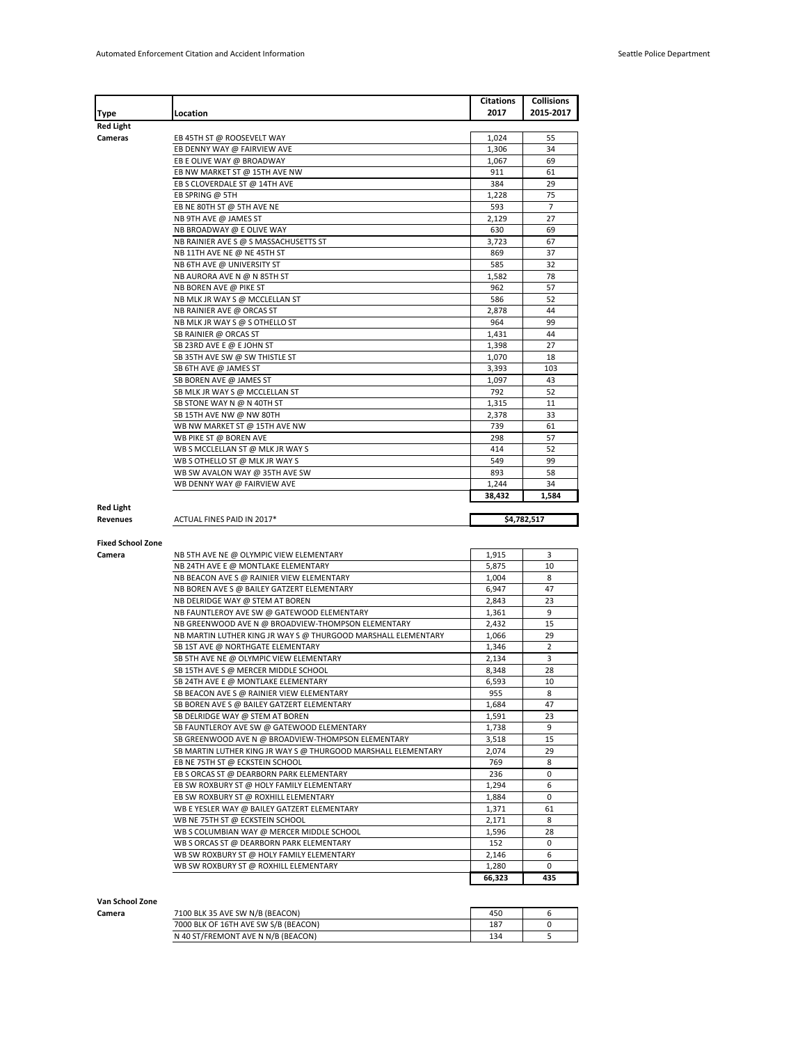|                                                                    |                                                               | Citations       | <b>Collisions</b> |
|--------------------------------------------------------------------|---------------------------------------------------------------|-----------------|-------------------|
| Type                                                               | Location                                                      | 2017            | 2015-2017         |
| Red Light                                                          |                                                               |                 |                   |
| Cameras                                                            | EB 45TH ST @ ROOSEVELT WAY                                    | 1,024           | 55                |
|                                                                    | EB DENNY WAY @ FAIRVIEW AVE                                   | 1,306           | 34                |
|                                                                    | EB E OLIVE WAY @ BROADWAY                                     | 1,067           | 69                |
|                                                                    | EB NW MARKET ST @ 15TH AVE NW                                 | 911             | 61                |
|                                                                    | EB S CLOVERDALE ST @ 14TH AVE                                 | 384             | 29                |
|                                                                    | EB SPRING @ 5TH                                               | 1,228           | 75                |
|                                                                    | EB NE 80TH ST @ 5TH AVE NE                                    | 593             | 7                 |
|                                                                    | NB 9TH AVE @ JAMES ST                                         | 2,129           | 27                |
|                                                                    | NB BROADWAY @ E OLIVE WAY                                     | 630             | 69                |
|                                                                    | NB RAINIER AVE S @ S MASSACHUSETTS ST                         | 3,723           | 67                |
|                                                                    | NB 11TH AVE NE @ NE 45TH ST                                   | 869             | 37                |
|                                                                    | NB 6TH AVE @ UNIVERSITY ST                                    | 585             | 32                |
|                                                                    | NB AURORA AVE N @ N 85TH ST                                   | 1,582           | 78                |
|                                                                    | NB BOREN AVE @ PIKE ST                                        | 962             | 57                |
|                                                                    | NB MLK JR WAY S @ MCCLELLAN ST                                | 586             | 52                |
|                                                                    | NB RAINIER AVE @ ORCAS ST                                     | 2,878           | 44                |
|                                                                    | NB MLK JR WAY S @ S OTHELLO ST                                | 964             | 99                |
|                                                                    | SB RAINIER @ ORCAS ST                                         | 1,431           | 44                |
|                                                                    | SB 23RD AVE E @ E JOHN ST                                     | 1,398           | 27                |
|                                                                    | SB 35TH AVE SW @ SW THISTLE ST                                | 1,070           | 18                |
|                                                                    | SB 6TH AVE @ JAMES ST                                         | 3,393           | 103               |
|                                                                    | SB BOREN AVE @ JAMES ST                                       | 1,097           | 43                |
|                                                                    | SB MLK JR WAY S @ MCCLELLAN ST                                | 792             | 52                |
|                                                                    | SB STONE WAY N @ N 40TH ST                                    | 1,315           | 11                |
|                                                                    | SB 15TH AVE NW @ NW 80TH                                      | 2,378           | 33                |
|                                                                    | WB NW MARKET ST @ 15TH AVE NW                                 | 739             | 61                |
|                                                                    | WB PIKE ST @ BOREN AVE                                        | 298             | 57                |
|                                                                    |                                                               |                 | 52                |
|                                                                    | WB S MCCLELLAN ST @ MLK JR WAY S                              | 414             |                   |
|                                                                    | WB S OTHELLO ST @ MLK JR WAY S                                | 549             | 99                |
|                                                                    | WB SW AVALON WAY @ 35TH AVE SW                                | 893             | 58                |
|                                                                    | WB DENNY WAY @ FAIRVIEW AVE                                   | 1,244           | 34                |
|                                                                    |                                                               | 38,432          | 1,584             |
|                                                                    |                                                               |                 |                   |
|                                                                    | ACTUAL FINES PAID IN 2017*                                    |                 | \$4,782,517       |
|                                                                    |                                                               |                 |                   |
|                                                                    |                                                               |                 |                   |
|                                                                    | NB 5TH AVE NE @ OLYMPIC VIEW ELEMENTARY                       | 1,915           | 3                 |
|                                                                    | NB 24TH AVE E @ MONTLAKE ELEMENTARY                           | 5,875           | 10                |
|                                                                    | NB BEACON AVE S @ RAINIER VIEW ELEMENTARY                     | 1,004           | 8                 |
|                                                                    | NB BOREN AVE S @ BAILEY GATZERT ELEMENTARY                    | 6,947           | 47                |
|                                                                    | NB DELRIDGE WAY @ STEM AT BOREN                               | 2,843           | 23                |
|                                                                    | NB FAUNTLEROY AVE SW @ GATEWOOD ELEMENTARY                    | 1,361           | 9                 |
|                                                                    | NB GREENWOOD AVE N @ BROADVIEW-THOMPSON ELEMENTARY            | 2,432           | 15                |
|                                                                    | NB MARTIN LUTHER KING JR WAY S @ THURGOOD MARSHALL ELEMENTARY | 1,066           | 29                |
|                                                                    | SB 1ST AVE @ NORTHGATE ELEMENTARY                             | 1,346           | 2                 |
|                                                                    |                                                               |                 | 3                 |
|                                                                    | SB 5TH AVE NE @ OLYMPIC VIEW ELEMENTARY                       | 2,134           |                   |
|                                                                    | SB 15TH AVE S @ MERCER MIDDLE SCHOOL                          | 8,348           | 28                |
|                                                                    | SB 24TH AVE E @ MONTLAKE ELEMENTARY                           | 6,593           | 10                |
|                                                                    | SB BEACON AVE S @ RAINIER VIEW ELEMENTARY                     | 955             | 8                 |
|                                                                    | SB BOREN AVE S @ BAILEY GATZERT ELEMENTARY                    | 1,684           | 47                |
|                                                                    | SB DELRIDGE WAY @ STEM AT BOREN                               | 1,591           | 23                |
|                                                                    | SB FAUNTLEROY AVE SW @ GATEWOOD ELEMENTARY                    | 1,738           | 9                 |
|                                                                    | SB GREENWOOD AVE N @ BROADVIEW-THOMPSON ELEMENTARY            | 3,518           | 15                |
|                                                                    | SB MARTIN LUTHER KING JR WAY S @ THURGOOD MARSHALL ELEMENTARY | 2.074           | 29                |
|                                                                    | EB NE 75TH ST @ ECKSTEIN SCHOOL                               | 769             | 8                 |
|                                                                    | EB S ORCAS ST @ DEARBORN PARK ELEMENTARY                      | 236             | 0                 |
|                                                                    | EB SW ROXBURY ST @ HOLY FAMILY ELEMENTARY                     | 1,294           | 6                 |
|                                                                    | EB SW ROXBURY ST @ ROXHILL ELEMENTARY                         | 1,884           | $\mathbf 0$       |
|                                                                    | WB E YESLER WAY @ BAILEY GATZERT ELEMENTARY                   | 1,371           | 61                |
|                                                                    | WB NE 75TH ST @ ECKSTEIN SCHOOL                               | 2,171           | 8                 |
|                                                                    | WB S COLUMBIAN WAY @ MERCER MIDDLE SCHOOL                     | 1,596           | 28                |
|                                                                    | WB S ORCAS ST @ DEARBORN PARK ELEMENTARY                      | 152             | 0                 |
|                                                                    | WB SW ROXBURY ST @ HOLY FAMILY ELEMENTARY                     | 2,146           | 6                 |
| <b>Red Light</b><br>Revenues<br><b>Fixed School Zone</b><br>Camera | WB SW ROXBURY ST @ ROXHILL ELEMENTARY                         | 1,280<br>66,323 | 0<br>435          |

| Van School Zone |                                      |     |  |
|-----------------|--------------------------------------|-----|--|
| Camera          | 7100 BLK 35 AVE SW N/B (BEACON)      | 450 |  |
|                 | 7000 BLK OF 16TH AVE SW S/B (BEACON) | 187 |  |
|                 | N 40 ST/FREMONT AVE N N/B (BEACON)   | 134 |  |